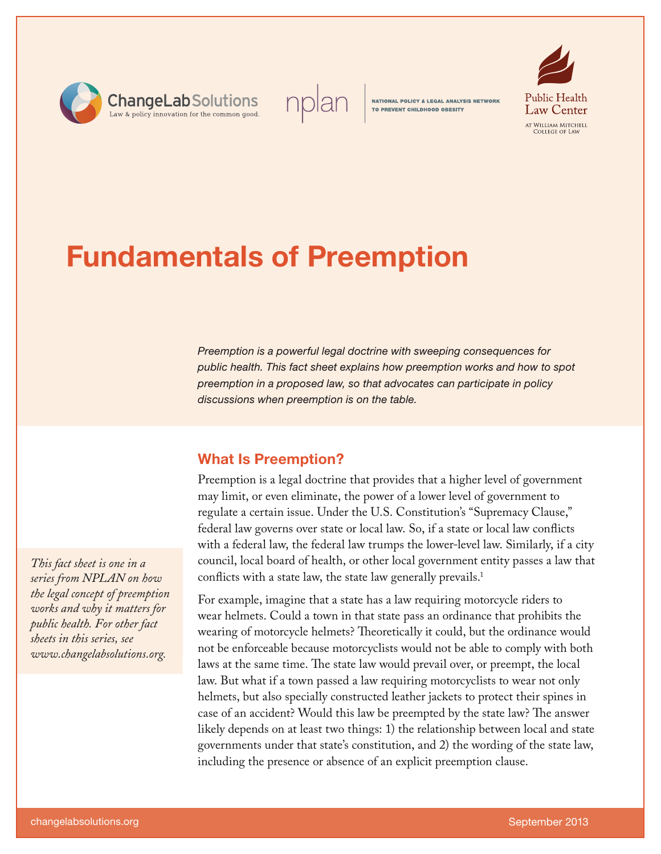



**NATIONAL POLICY & LEGAL ANALYSIS NETWORK** TO PREVENT CHILDHOOD OBESITY



# **Fundamentals of Preemption**

*Preemption is a powerful legal doctrine with sweeping consequences for public health. This fact sheet explains how preemption works and how to spot preemption in a proposed law, so that advocates can participate in policy discussions when preemption is on the table.* 

# **What Is Preemption?**

Preemption is a legal doctrine that provides that a higher level of government may limit, or even eliminate, the power of a lower level of government to regulate a certain issue. Under the U.S. Constitution's "Supremacy Clause," federal law governs over state or local law. So, if a state or local law conflicts with a federal law, the federal law trumps the lower-level law. Similarly, if a city council, local board of health, or other local government entity passes a law that conflicts with a state law, the state law generally prevails.<sup>1</sup>

For example, imagine that a state has a law requiring motorcycle riders to wear helmets. Could a town in that state pass an ordinance that prohibits the wearing of motorcycle helmets? Theoretically it could, but the ordinance would not be enforceable because motorcyclists would not be able to comply with both laws at the same time. The state law would prevail over, or preempt, the local law. But what if a town passed a law requiring motorcyclists to wear not only helmets, but also specially constructed leather jackets to protect their spines in case of an accident? Would this law be preempted by the state law? The answer likely depends on at least two things: 1) the relationship between local and state governments under that state's constitution, and 2) the wording of the state law, including the presence or absence of an explicit preemption clause.

*This fact sheet is one in a series from NPLAN on how the legal concept of preemption works and why it matters for public health. For other fact sheets in this series, see www.changelabsolutions.org.*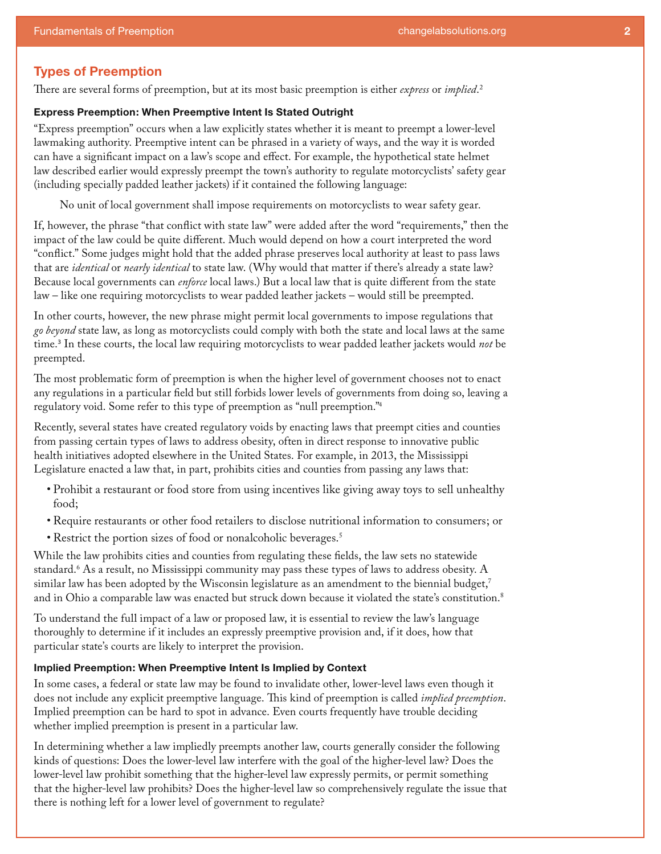# **Types of Preemption**

There are several forms of preemption, but at its most basic preemption is either *express* or *implied*. 2

## **Express Preemption: When Preemptive Intent Is Stated Outright**

"Express preemption" occurs when a law explicitly states whether it is meant to preempt a lower-level lawmaking authority. Preemptive intent can be phrased in a variety of ways, and the way it is worded can have a significant impact on a law's scope and effect. For example, the hypothetical state helmet law described earlier would expressly preempt the town's authority to regulate motorcyclists' safety gear (including specially padded leather jackets) if it contained the following language:

No unit of local government shall impose requirements on motorcyclists to wear safety gear.

If, however, the phrase "that conflict with state law" were added after the word "requirements," then the impact of the law could be quite different. Much would depend on how a court interpreted the word "conflict." Some judges might hold that the added phrase preserves local authority at least to pass laws that are *identical* or *nearly identical* to state law. (Why would that matter if there's already a state law? Because local governments can *enforce* local laws.) But a local law that is quite different from the state law – like one requiring motorcyclists to wear padded leather jackets – would still be preempted.

In other courts, however, the new phrase might permit local governments to impose regulations that *go beyond* state law, as long as motorcyclists could comply with both the state and local laws at the same time.<sup>3</sup> In these courts, the local law requiring motorcyclists to wear padded leather jackets would *not* be preempted.

The most problematic form of preemption is when the higher level of government chooses not to enact any regulations in a particular field but still forbids lower levels of governments from doing so, leaving a regulatory void. Some refer to this type of preemption as "null preemption."4

Recently, several states have created regulatory voids by enacting laws that preempt cities and counties from passing certain types of laws to address obesity, often in direct response to innovative public health initiatives adopted elsewhere in the United States. For example, in 2013, the Mississippi Legislature enacted a law that, in part, prohibits cities and counties from passing any laws that:

- • Prohibit a restaurant or food store from using incentives like giving away toys to sell unhealthy food;
- • Require restaurants or other food retailers to disclose nutritional information to consumers; or
- Restrict the portion sizes of food or nonalcoholic beverages.<sup>5</sup>

While the law prohibits cities and counties from regulating these fields, the law sets no statewide standard.6 As a result, no Mississippi community may pass these types of laws to address obesity. A similar law has been adopted by the Wisconsin legislature as an amendment to the biennial budget,<sup>7</sup> and in Ohio a comparable law was enacted but struck down because it violated the state's constitution.<sup>8</sup>

To understand the full impact of a law or proposed law, it is essential to review the law's language thoroughly to determine if it includes an expressly preemptive provision and, if it does, how that particular state's courts are likely to interpret the provision.

#### **Implied Preemption: When Preemptive Intent Is Implied by Context**

In some cases, a federal or state law may be found to invalidate other, lower-level laws even though it does not include any explicit preemptive language. This kind of preemption is called *implied preemption*. Implied preemption can be hard to spot in advance. Even courts frequently have trouble deciding whether implied preemption is present in a particular law.

In determining whether a law impliedly preempts another law, courts generally consider the following kinds of questions: Does the lower-level law interfere with the goal of the higher-level law? Does the lower-level law prohibit something that the higher-level law expressly permits, or permit something that the higher-level law prohibits? Does the higher-level law so comprehensively regulate the issue that there is nothing left for a lower level of government to regulate?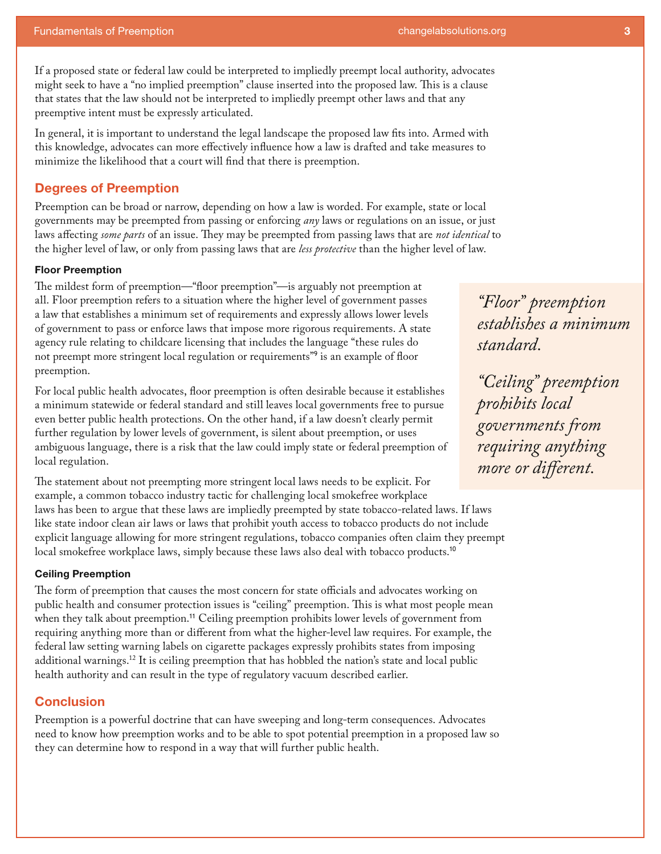If a proposed state or federal law could be interpreted to impliedly preempt local authority, advocates might seek to have a "no implied preemption" clause inserted into the proposed law. This is a clause that states that the law should not be interpreted to impliedly preempt other laws and that any preemptive intent must be expressly articulated.

In general, it is important to understand the legal landscape the proposed law fits into. Armed with this knowledge, advocates can more effectively influence how a law is drafted and take measures to minimize the likelihood that a court will find that there is preemption.

# **Degrees of Preemption**

Preemption can be broad or narrow, depending on how a law is worded. For example, state or local governments may be preempted from passing or enforcing *any* laws or regulations on an issue, or just laws affecting *some parts* of an issue. They may be preempted from passing laws that are *not identical* to the higher level of law, or only from passing laws that are *less protective* than the higher level of law.

#### **Floor Preemption**

The mildest form of preemption—"floor preemption"—is arguably not preemption at all. Floor preemption refers to a situation where the higher level of government passes a law that establishes a minimum set of requirements and expressly allows lower levels of government to pass or enforce laws that impose more rigorous requirements. A state agency rule relating to childcare licensing that includes the language "these rules do not preempt more stringent local regulation or requirements"<sup>9</sup> is an example of floor preemption.

For local public health advocates, floor preemption is often desirable because it establishes a minimum statewide or federal standard and still leaves local governments free to pursue even better public health protections. On the other hand, if a law doesn't clearly permit further regulation by lower levels of government, is silent about preemption, or uses ambiguous language, there is a risk that the law could imply state or federal preemption of local regulation.

The statement about not preempting more stringent local laws needs to be explicit. For example, a common tobacco industry tactic for challenging local smokefree workplace laws has been to argue that these laws are impliedly preempted by state tobacco-related laws. If laws like state indoor clean air laws or laws that prohibit youth access to tobacco products do not include explicit language allowing for more stringent regulations, tobacco companies often claim they preempt local smokefree workplace laws, simply because these laws also deal with tobacco products.<sup>10</sup>

#### **Ceiling Preemption**

The form of preemption that causes the most concern for state officials and advocates working on public health and consumer protection issues is "ceiling" preemption. This is what most people mean when they talk about preemption.<sup>11</sup> Ceiling preemption prohibits lower levels of government from requiring anything more than or different from what the higher-level law requires. For example, the federal law setting warning labels on cigarette packages expressly prohibits states from imposing additional warnings.12 It is ceiling preemption that has hobbled the nation's state and local public health authority and can result in the type of regulatory vacuum described earlier.

## **Conclusion**

Preemption is a powerful doctrine that can have sweeping and long-term consequences. Advocates need to know how preemption works and to be able to spot potential preemption in a proposed law so they can determine how to respond in a way that will further public health.

*"Floor" preemption establishes a minimum standard.* 

*"Ceiling" preemption prohibits local governments from requiring anything more or different.*